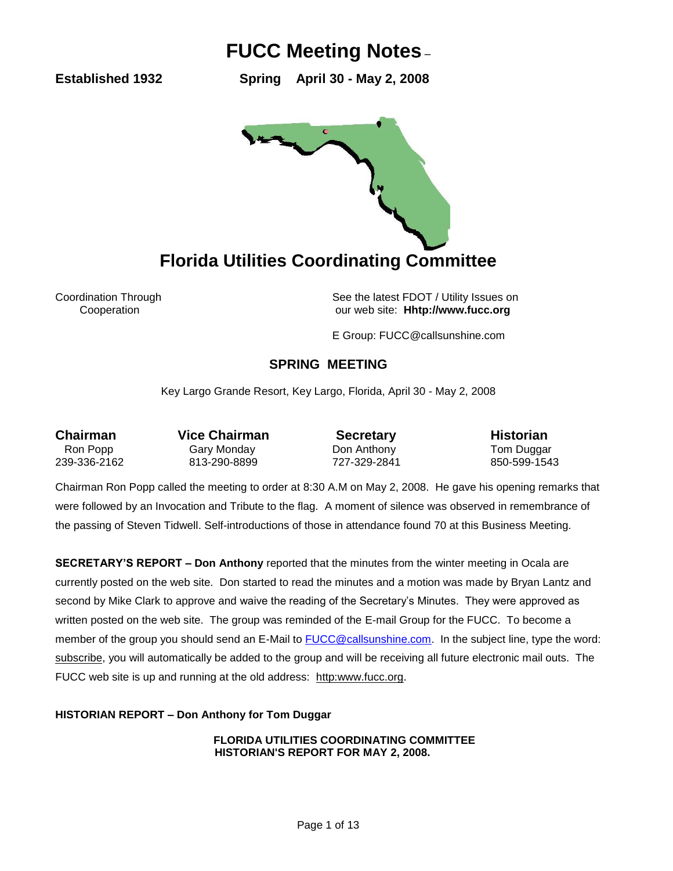**Established 1932 Spring April 30 - May 2, 2008** 



Coordination Through See the latest FDOT / Utility Issues on Cooperation our web site: **Hhtp://www.fucc.org**

E Group: FUCC@callsunshine.com

### **SPRING MEETING**

Key Largo Grande Resort, Key Largo, Florida, April 30 - May 2, 2008

**Chairman** Vice Chairman **Secretary Historian** Ron Popp **Gary Monday** Don Anthony **Connect Connect Connect Prop** Connect Connect Anthony 239-336-2162 813-290-8899 727-329-2841 850-599-1543

Chairman Ron Popp called the meeting to order at 8:30 A.M on May 2, 2008. He gave his opening remarks that were followed by an Invocation and Tribute to the flag. A moment of silence was observed in remembrance of the passing of Steven Tidwell. Self-introductions of those in attendance found 70 at this Business Meeting.

**SECRETARY'S REPORT – Don Anthony** reported that the minutes from the winter meeting in Ocala are currently posted on the web site. Don started to read the minutes and a motion was made by Bryan Lantz and second by Mike Clark to approve and waive the reading of the Secretary's Minutes. They were approved as written posted on the web site. The group was reminded of the E-mail Group for the FUCC. To become a member of the group you should send an E-Mail to [FUCC@callsunshine.com.](mailto:FUCC@callsunshine.com) In the subject line, type the word: subscribe, you will automatically be added to the group and will be receiving all future electronic mail outs. The FUCC web site is up and running at the old address: http:www.fucc.org.

**HISTORIAN REPORT – Don Anthony for Tom Duggar**

**FLORIDA UTILITIES COORDINATING COMMITTEE HISTORIAN'S REPORT FOR MAY 2, 2008.**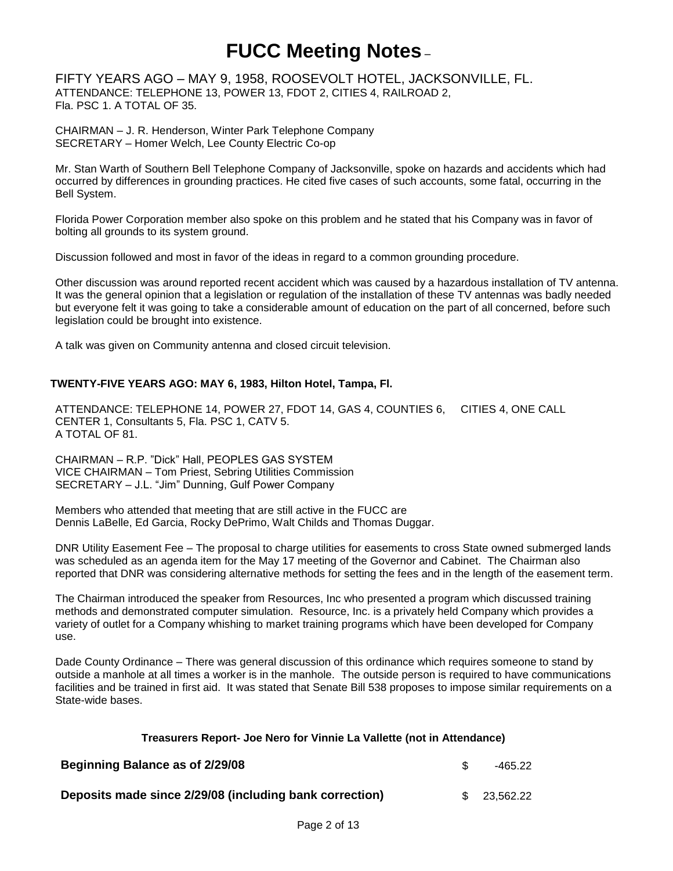FIFTY YEARS AGO – MAY 9, 1958, ROOSEVOLT HOTEL, JACKSONVILLE, FL. ATTENDANCE: TELEPHONE 13, POWER 13, FDOT 2, CITIES 4, RAILROAD 2, Fla. PSC 1. A TOTAL OF 35.

CHAIRMAN – J. R. Henderson, Winter Park Telephone Company SECRETARY – Homer Welch, Lee County Electric Co-op

Mr. Stan Warth of Southern Bell Telephone Company of Jacksonville, spoke on hazards and accidents which had occurred by differences in grounding practices. He cited five cases of such accounts, some fatal, occurring in the Bell System.

Florida Power Corporation member also spoke on this problem and he stated that his Company was in favor of bolting all grounds to its system ground.

Discussion followed and most in favor of the ideas in regard to a common grounding procedure.

Other discussion was around reported recent accident which was caused by a hazardous installation of TV antenna. It was the general opinion that a legislation or regulation of the installation of these TV antennas was badly needed but everyone felt it was going to take a considerable amount of education on the part of all concerned, before such legislation could be brought into existence.

A talk was given on Community antenna and closed circuit television.

### **TWENTY-FIVE YEARS AGO: MAY 6, 1983, Hilton Hotel, Tampa, Fl.**

ATTENDANCE: TELEPHONE 14, POWER 27, FDOT 14, GAS 4, COUNTIES 6, CITIES 4, ONE CALL CENTER 1, Consultants 5, Fla. PSC 1, CATV 5. A TOTAL OF 81.

CHAIRMAN – R.P. "Dick" Hall, PEOPLES GAS SYSTEM VICE CHAIRMAN – Tom Priest, Sebring Utilities Commission SECRETARY – J.L. "Jim" Dunning, Gulf Power Company

Members who attended that meeting that are still active in the FUCC are Dennis LaBelle, Ed Garcia, Rocky DePrimo, Walt Childs and Thomas Duggar.

DNR Utility Easement Fee – The proposal to charge utilities for easements to cross State owned submerged lands was scheduled as an agenda item for the May 17 meeting of the Governor and Cabinet. The Chairman also reported that DNR was considering alternative methods for setting the fees and in the length of the easement term.

The Chairman introduced the speaker from Resources, Inc who presented a program which discussed training methods and demonstrated computer simulation. Resource, Inc. is a privately held Company which provides a variety of outlet for a Company whishing to market training programs which have been developed for Company use.

Dade County Ordinance – There was general discussion of this ordinance which requires someone to stand by outside a manhole at all times a worker is in the manhole. The outside person is required to have communications facilities and be trained in first aid. It was stated that Senate Bill 538 proposes to impose similar requirements on a State-wide bases.

### **Treasurers Report- Joe Nero for Vinnie La Vallette (not in Attendance)**

| Beginning Balance as of 2/29/08                         | -465.22      |
|---------------------------------------------------------|--------------|
| Deposits made since 2/29/08 (including bank correction) | \$ 23.562.22 |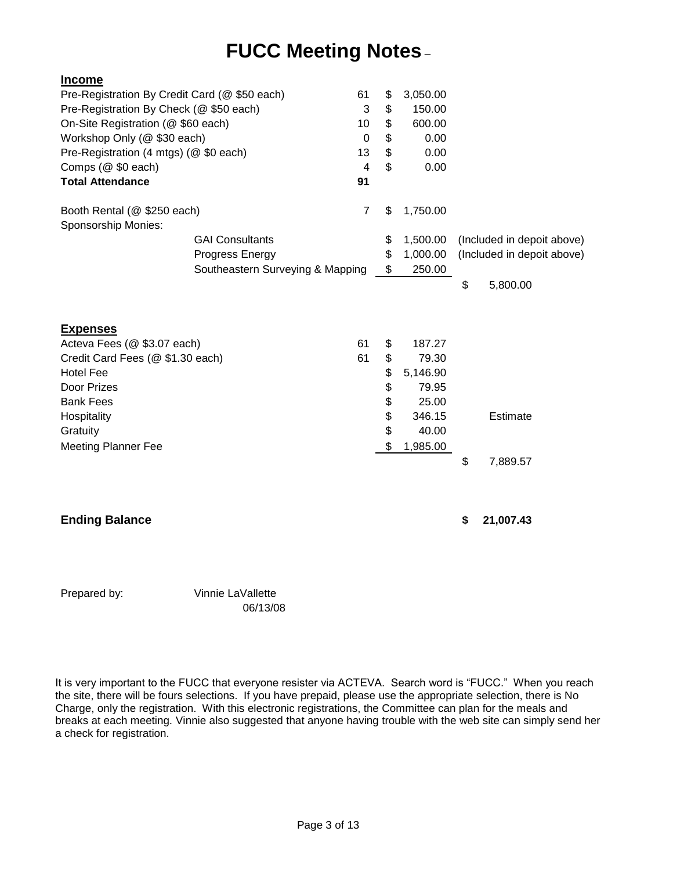| <b>Income</b>                                      |                                  |                         |                |          |                            |
|----------------------------------------------------|----------------------------------|-------------------------|----------------|----------|----------------------------|
| Pre-Registration By Credit Card (@ \$50 each)      |                                  | 61                      | \$             | 3,050.00 |                            |
| Pre-Registration By Check (@ \$50 each)            |                                  | 3                       | \$             | 150.00   |                            |
| On-Site Registration (@ \$60 each)<br>10           |                                  | \$                      | 600.00         |          |                            |
| Workshop Only (@ \$30 each)<br>0                   |                                  | \$                      | 0.00           |          |                            |
| Pre-Registration (4 mtgs) (@ \$0 each)<br>13       |                                  | \$                      | 0.00           |          |                            |
| Comps (@ \$0 each)                                 |                                  | $\overline{\mathbf{4}}$ | $\mathfrak{S}$ | 0.00     |                            |
| <b>Total Attendance</b>                            |                                  | 91                      |                |          |                            |
| Booth Rental (@ \$250 each)<br>Sponsorship Monies: |                                  | $\overline{7}$          | \$             | 1,750.00 |                            |
|                                                    | <b>GAI Consultants</b>           |                         | \$             | 1,500.00 | (Included in depoit above) |
|                                                    | Progress Energy                  |                         | \$             | 1,000.00 | (Included in depoit above) |
|                                                    | Southeastern Surveying & Mapping |                         | \$             | 250.00   |                            |
|                                                    |                                  |                         |                |          | \$<br>5,800.00             |
| <b>Expenses</b>                                    |                                  |                         |                |          |                            |
| Acteva Fees (@ \$3.07 each)                        |                                  | 61                      | \$             | 187.27   |                            |
| Credit Card Fees (@ \$1.30 each)                   |                                  | 61                      | \$             | 79.30    |                            |
| <b>Hotel Fee</b>                                   |                                  |                         | \$             | 5,146.90 |                            |
| Door Prizes                                        |                                  |                         | \$             | 79.95    |                            |
| <b>Bank Fees</b>                                   |                                  |                         | \$             | 25.00    |                            |
| Hospitality                                        |                                  |                         | \$             | 346.15   | Estimate                   |
| Gratuity                                           |                                  |                         | \$             | 40.00    |                            |
| <b>Meeting Planner Fee</b>                         |                                  |                         | \$             | 1,985.00 |                            |
|                                                    |                                  |                         |                |          | \$<br>7,889.57             |
|                                                    |                                  |                         |                |          |                            |
| <b>Ending Balance</b>                              |                                  |                         |                |          | \$<br>21,007.43            |
|                                                    |                                  |                         |                |          |                            |

Prepared by: Vinnie LaVallette 06/13/08

It is very important to the FUCC that everyone resister via ACTEVA. Search word is "FUCC." When you reach the site, there will be fours selections. If you have prepaid, please use the appropriate selection, there is No Charge, only the registration. With this electronic registrations, the Committee can plan for the meals and breaks at each meeting. Vinnie also suggested that anyone having trouble with the web site can simply send her a check for registration.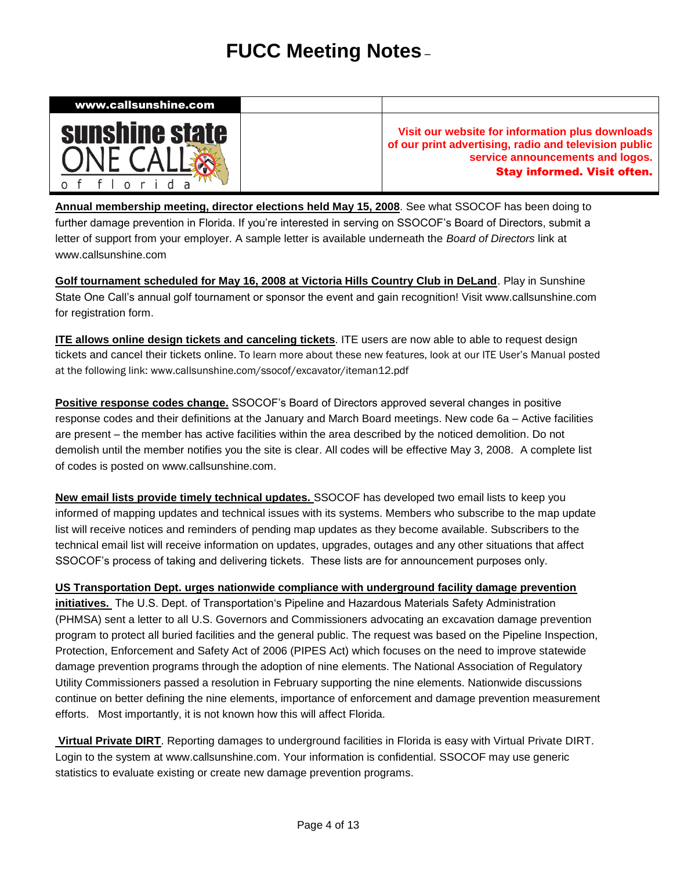

**Annual membership meeting, director elections held May 15, 2008**. See what SSOCOF has been doing to further damage prevention in Florida. If you're interested in serving on SSOCOF's Board of Directors, submit a letter of support from your employer. A sample letter is available underneath the *Board of Directors* link at [www.callsunshine.com](http://www.callsunshine.com/)

**Golf tournament scheduled for May 16, 2008 at Victoria Hills Country Club in DeLand**. Play in Sunshine State One Call's annual golf tournament or sponsor the event and gain recognition! Visit [www.callsunshine.com](http://www.callsunshine.com/) for registration form.

**ITE allows online design tickets and canceling tickets**. ITE users are now able to able to request design tickets and cancel their tickets online. To learn more about these new features, look at our ITE User's Manual posted at the following link: [www.callsunshine.com/ssocof/excavator/iteman12.pdf](http://www.callsunshine.com/ssocof/excavator/iteman12.pdf)

**Positive response codes change.** SSOCOF's Board of Directors approved several changes in positive response codes and their definitions at the January and March Board meetings. New code 6a – Active facilities are present – the member has active facilities within the area described by the noticed demolition. Do not demolish until the member notifies you the site is clear. All codes will be effective May 3, 2008. A complete list of codes is posted on [www.callsunshine.com.](http://www.callsunshine.com/)

**New email lists provide timely technical updates.** SSOCOF has developed two email lists to keep you informed of mapping updates and technical issues with its systems. Members who subscribe to the map update list will receive notices and reminders of pending map updates as they become available. Subscribers to the technical email list will receive information on updates, upgrades, outages and any other situations that affect SSOCOF's process of taking and delivering tickets. These lists are for announcement purposes only.

**US Transportation Dept. urges nationwide compliance with underground facility damage prevention initiatives.** The U.S. Dept. of Transportation's Pipeline and Hazardous Materials Safety Administration (PHMSA) sent a letter to all U.S. Governors and Commissioners advocating an excavation damage prevention program to protect all buried facilities and the general public. The request was based on the Pipeline Inspection, Protection, Enforcement and Safety Act of 2006 (PIPES Act) which focuses on the need to improve statewide damage prevention programs through the adoption of nine elements. The National Association of Regulatory Utility Commissioners passed a resolution in February supporting the nine elements. Nationwide discussions continue on better defining the nine elements, importance of enforcement and damage prevention measurement efforts. Most importantly, it is not known how this will affect Florida.

**Virtual Private DIRT**. Reporting damages to underground facilities in Florida is easy with Virtual Private DIRT. Login to the system at [www.callsunshine.com.](http://www.callsunshine.com/) Your information is confidential. SSOCOF may use generic statistics to evaluate existing or create new damage prevention programs.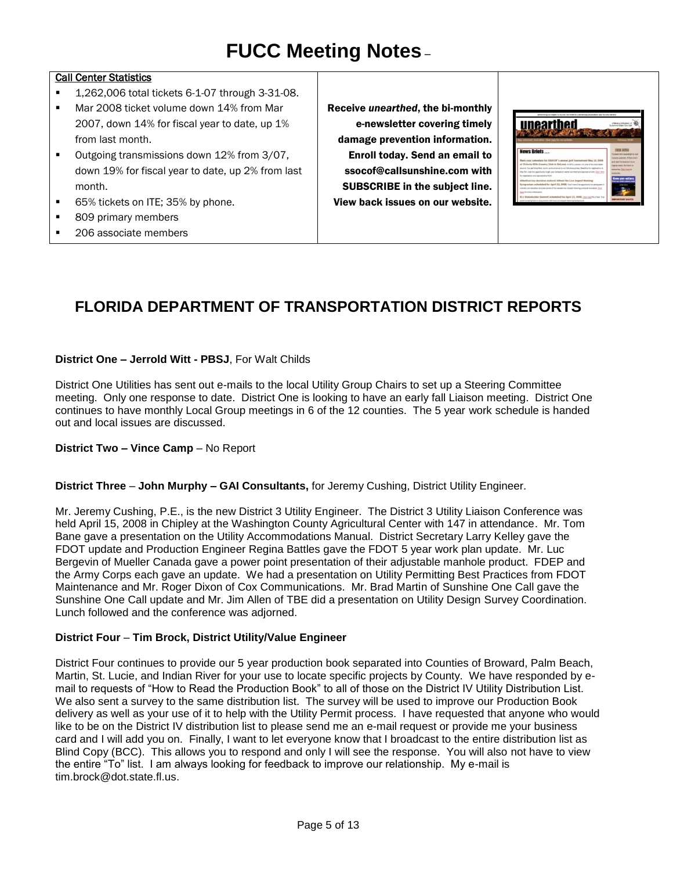#### Call Center Statistics

- 1.262,006 total tickets 6-1-07 through 3-31-08.
- Mar 2008 ticket volume down 14% from Mar 2007, down 14% for fiscal year to date, up 1% from last month.
- Outgoing transmissions down 12% from 3/07, down 19% for fiscal year to date, up 2% from last month.
- 65% tickets on ITE; 35% by phone.
- 809 primary members
- 206 associate members

Receive *unearthed*, the bi-monthly e-newsletter covering timely damage prevention information. Enroll today. Send an email to [ssocof@callsunshine.com](mailto:ssocof@callsunshine.com) with SUBSCRIBE in the subject line. View back issues on our website.



### **FLORIDA DEPARTMENT OF TRANSPORTATION DISTRICT REPORTS**

#### **District One – Jerrold Witt - PBSJ**, For Walt Childs

District One Utilities has sent out e-mails to the local Utility Group Chairs to set up a Steering Committee meeting. Only one response to date. District One is looking to have an early fall Liaison meeting. District One continues to have monthly Local Group meetings in 6 of the 12 counties. The 5 year work schedule is handed out and local issues are discussed.

#### **District Two – Vince Camp** – No Report

#### **District Three** – **John Murphy – GAI Consultants,** for Jeremy Cushing, District Utility Engineer.

Mr. Jeremy Cushing, P.E., is the new District 3 Utility Engineer. The District 3 Utility Liaison Conference was held April 15, 2008 in Chipley at the Washington County Agricultural Center with 147 in attendance. Mr. Tom Bane gave a presentation on the Utility Accommodations Manual. District Secretary Larry Kelley gave the FDOT update and Production Engineer Regina Battles gave the FDOT 5 year work plan update. Mr. Luc Bergevin of Mueller Canada gave a power point presentation of their adjustable manhole product. FDEP and the Army Corps each gave an update. We had a presentation on Utility Permitting Best Practices from FDOT Maintenance and Mr. Roger Dixon of Cox Communications. Mr. Brad Martin of Sunshine One Call gave the Sunshine One Call update and Mr. Jim Allen of TBE did a presentation on Utility Design Survey Coordination. Lunch followed and the conference was adjorned.

#### **District Four** – **Tim Brock, District Utility/Value Engineer**

District Four continues to provide our 5 year production book separated into Counties of Broward, Palm Beach, Martin, St. Lucie, and Indian River for your use to locate specific projects by County. We have responded by email to requests of "How to Read the Production Book" to all of those on the District IV Utility Distribution List. We also sent a survey to the same distribution list. The survey will be used to improve our Production Book delivery as well as your use of it to help with the Utility Permit process. I have requested that anyone who would like to be on the District IV distribution list to please send me an e-mail request or provide me your business card and I will add you on. Finally, I want to let everyone know that I broadcast to the entire distribution list as Blind Copy (BCC). This allows you to respond and only I will see the response. You will also not have to view the entire "To" list. I am always looking for feedback to improve our relationship. My e-mail is [tim.brock@dot.state.fl.us.](mailto:tim.brock@dot.state.fl.us)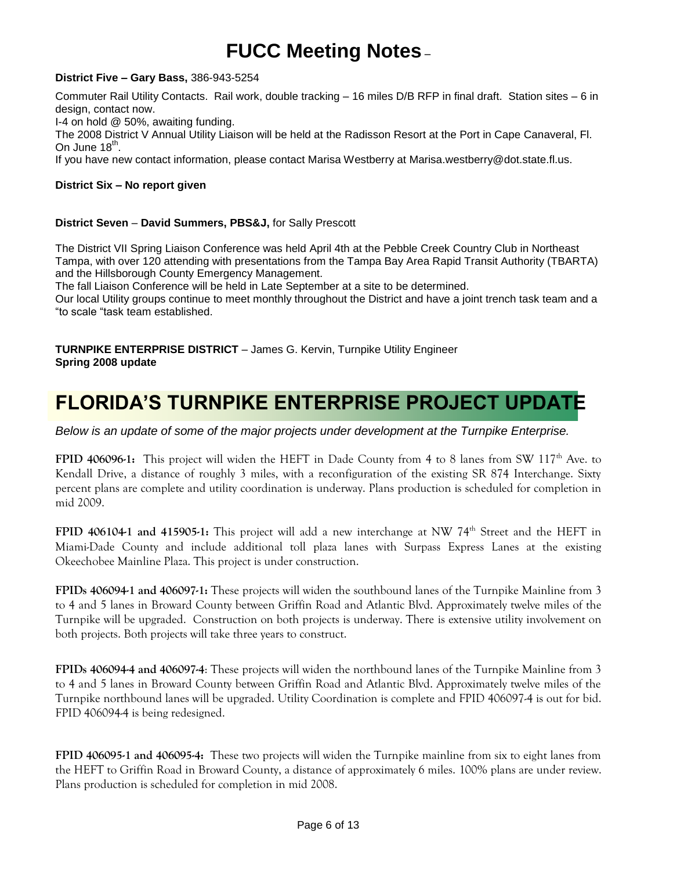#### **District Five – Gary Bass,** 386-943-5254

Commuter Rail Utility Contacts. Rail work, double tracking – 16 miles D/B RFP in final draft. Station sites – 6 in design, contact now.

I-4 on hold @ 50%, awaiting funding.

The 2008 District V Annual Utility Liaison will be held at the Radisson Resort at the Port in Cape Canaveral, Fl. On June 18<sup>th</sup>.

If you have new contact information, please contact Marisa Westberry at Marisa.westberry@dot.state.fl.us.

### **District Six – No report given**

#### **District Seven** – **David Summers, PBS&J,** for Sally Prescott

The District VII Spring Liaison Conference was held April 4th at the Pebble Creek Country Club in Northeast Tampa, with over 120 attending with presentations from the Tampa Bay Area Rapid Transit Authority (TBARTA) and the Hillsborough County Emergency Management.

The fall Liaison Conference will be held in Late September at a site to be determined.

Our local Utility groups continue to meet monthly throughout the District and have a joint trench task team and a "to scale "task team established.

**TURNPIKE ENTERPRISE DISTRICT** – James G. Kervin, Turnpike Utility Engineer **Spring 2008 update**

## **FLORIDA'S TURNPIKE ENTERPRISE PROJECT UPDATE**

*Below is an update of some of the major projects under development at the Turnpike Enterprise.*

**FPID 406096-1:** This project will widen the HEFT in Dade County from 4 to 8 lanes from SW 117<sup>th</sup> Ave. to Kendall Drive, a distance of roughly 3 miles, with a reconfiguration of the existing SR 874 Interchange. Sixty percent plans are complete and utility coordination is underway. Plans production is scheduled for completion in mid 2009.

**FPID 406104-1 and 415905-1:** This project will add a new interchange at NW 74<sup>th</sup> Street and the HEFT in Miami-Dade County and include additional toll plaza lanes with Surpass Express Lanes at the existing Okeechobee Mainline Plaza. This project is under construction.

**FPIDs 406094-1 and 406097-1:** These projects will widen the southbound lanes of the Turnpike Mainline from 3 to 4 and 5 lanes in Broward County between Griffin Road and Atlantic Blvd. Approximately twelve miles of the Turnpike will be upgraded. Construction on both projects is underway. There is extensive utility involvement on both projects. Both projects will take three years to construct.

**FPIDs 406094-4 and 406097-4**: These projects will widen the northbound lanes of the Turnpike Mainline from 3 to 4 and 5 lanes in Broward County between Griffin Road and Atlantic Blvd. Approximately twelve miles of the Turnpike northbound lanes will be upgraded. Utility Coordination is complete and FPID 406097-4 is out for bid. FPID 406094-4 is being redesigned.

**FPID 406095-1 and 406095-4:** These two projects will widen the Turnpike mainline from six to eight lanes from the HEFT to Griffin Road in Broward County, a distance of approximately 6 miles. 100% plans are under review. Plans production is scheduled for completion in mid 2008.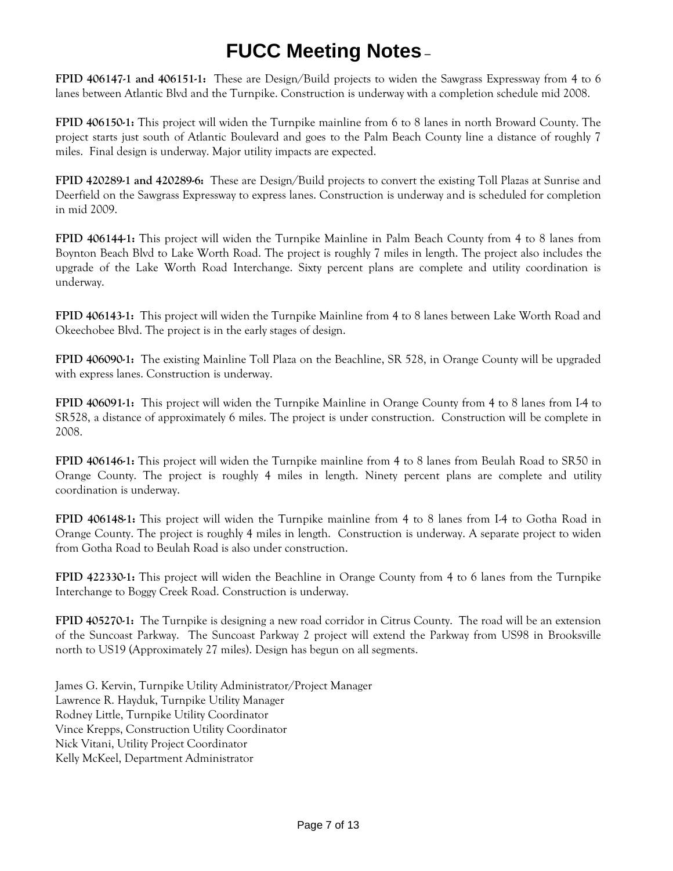**FPID 406147-1 and 406151-1:** These are Design/Build projects to widen the Sawgrass Expressway from 4 to 6 lanes between Atlantic Blvd and the Turnpike. Construction is underway with a completion schedule mid 2008.

**FPID 406150-1:** This project will widen the Turnpike mainline from 6 to 8 lanes in north Broward County. The project starts just south of Atlantic Boulevard and goes to the Palm Beach County line a distance of roughly 7 miles. Final design is underway. Major utility impacts are expected.

**FPID 420289-1 and 420289-6:** These are Design/Build projects to convert the existing Toll Plazas at Sunrise and Deerfield on the Sawgrass Expressway to express lanes. Construction is underway and is scheduled for completion in mid 2009.

**FPID 406144-1:** This project will widen the Turnpike Mainline in Palm Beach County from 4 to 8 lanes from Boynton Beach Blvd to Lake Worth Road. The project is roughly 7 miles in length. The project also includes the upgrade of the Lake Worth Road Interchange. Sixty percent plans are complete and utility coordination is underway.

**FPID 406143-1:** This project will widen the Turnpike Mainline from 4 to 8 lanes between Lake Worth Road and Okeechobee Blvd. The project is in the early stages of design.

**FPID 406090-1:** The existing Mainline Toll Plaza on the Beachline, SR 528, in Orange County will be upgraded with express lanes. Construction is underway.

**FPID 406091-1:** This project will widen the Turnpike Mainline in Orange County from 4 to 8 lanes from I-4 to SR528, a distance of approximately 6 miles. The project is under construction. Construction will be complete in 2008.

**FPID 406146-1:** This project will widen the Turnpike mainline from 4 to 8 lanes from Beulah Road to SR50 in Orange County. The project is roughly 4 miles in length. Ninety percent plans are complete and utility coordination is underway.

**FPID 406148-1:** This project will widen the Turnpike mainline from 4 to 8 lanes from I-4 to Gotha Road in Orange County. The project is roughly 4 miles in length. Construction is underway. A separate project to widen from Gotha Road to Beulah Road is also under construction.

**FPID 422330-1:** This project will widen the Beachline in Orange County from 4 to 6 lanes from the Turnpike Interchange to Boggy Creek Road. Construction is underway.

**FPID 405270-1:** The Turnpike is designing a new road corridor in Citrus County. The road will be an extension of the Suncoast Parkway. The Suncoast Parkway 2 project will extend the Parkway from US98 in Brooksville north to US19 (Approximately 27 miles). Design has begun on all segments.

James G. Kervin, Turnpike Utility Administrator/Project Manager Lawrence R. Hayduk, Turnpike Utility Manager Rodney Little, Turnpike Utility Coordinator Vince Krepps, Construction Utility Coordinator Nick Vitani, Utility Project Coordinator Kelly McKeel, Department Administrator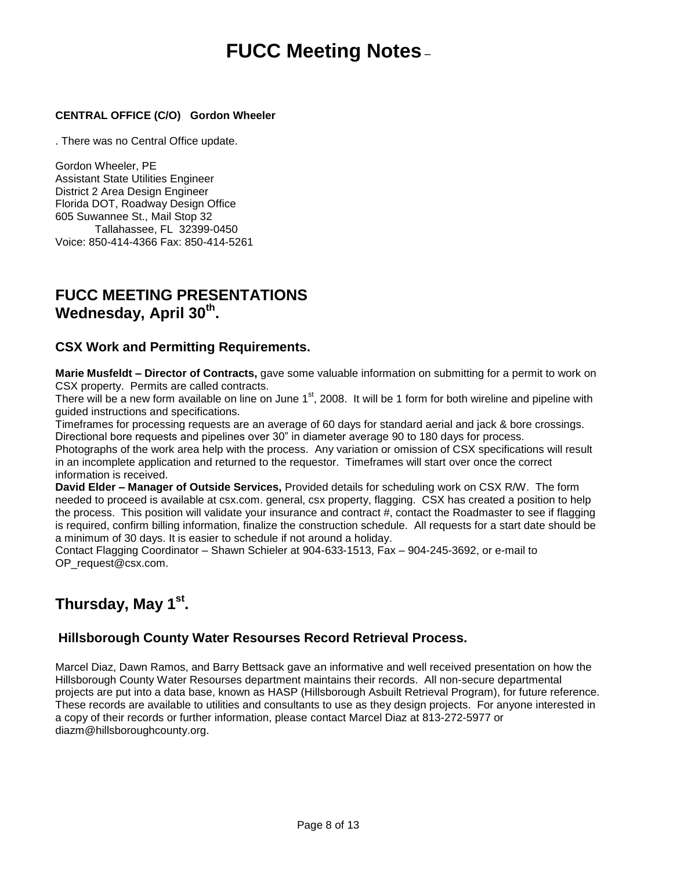### **CENTRAL OFFICE (C/O) Gordon Wheeler**

. There was no Central Office update.

Gordon Wheeler, PE Assistant State Utilities Engineer District 2 Area Design Engineer Florida DOT, Roadway Design Office 605 Suwannee St., Mail Stop 32 Tallahassee, FL 32399-0450 Voice: 850-414-4366 Fax: 850-414-5261

### **FUCC MEETING PRESENTATIONS Wednesday, April 30th .**

### **CSX Work and Permitting Requirements.**

**Marie Musfeldt – Director of Contracts,** gave some valuable information on submitting for a permit to work on CSX property. Permits are called contracts.

There will be a new form available on line on June 1<sup>st</sup>, 2008. It will be 1 form for both wireline and pipeline with guided instructions and specifications.

Timeframes for processing requests are an average of 60 days for standard aerial and jack & bore crossings. Directional bore requests and pipelines over 30" in diameter average 90 to 180 days for process.

Photographs of the work area help with the process. Any variation or omission of CSX specifications will result in an incomplete application and returned to the requestor. Timeframes will start over once the correct information is received.

**David Elder – Manager of Outside Services,** Provided details for scheduling work on CSX R/W. The form needed to proceed is available at csx.com. general, csx property, flagging. CSX has created a position to help the process. This position will validate your insurance and contract #, contact the Roadmaster to see if flagging is required, confirm billing information, finalize the construction schedule. All requests for a start date should be a minimum of 30 days. It is easier to schedule if not around a holiday.

Contact Flagging Coordinator – Shawn Schieler at 904-633-1513, Fax – 904-245-3692, or e-mail to [OP\\_request@csx.com.](mailto:OP_request@csx.com)

### **Thursday, May 1st .**

### **Hillsborough County Water Resourses Record Retrieval Process.**

Marcel Diaz, Dawn Ramos, and Barry Bettsack gave an informative and well received presentation on how the Hillsborough County Water Resourses department maintains their records. All non-secure departmental projects are put into a data base, known as HASP (Hillsborough Asbuilt Retrieval Program), for future reference. These records are available to utilities and consultants to use as they design projects. For anyone interested in a copy of their records or further information, please contact Marcel Diaz at 813-272-5977 or [diazm@hillsboroughcounty.org.](mailto:diazm@hillsboroughcounty.org)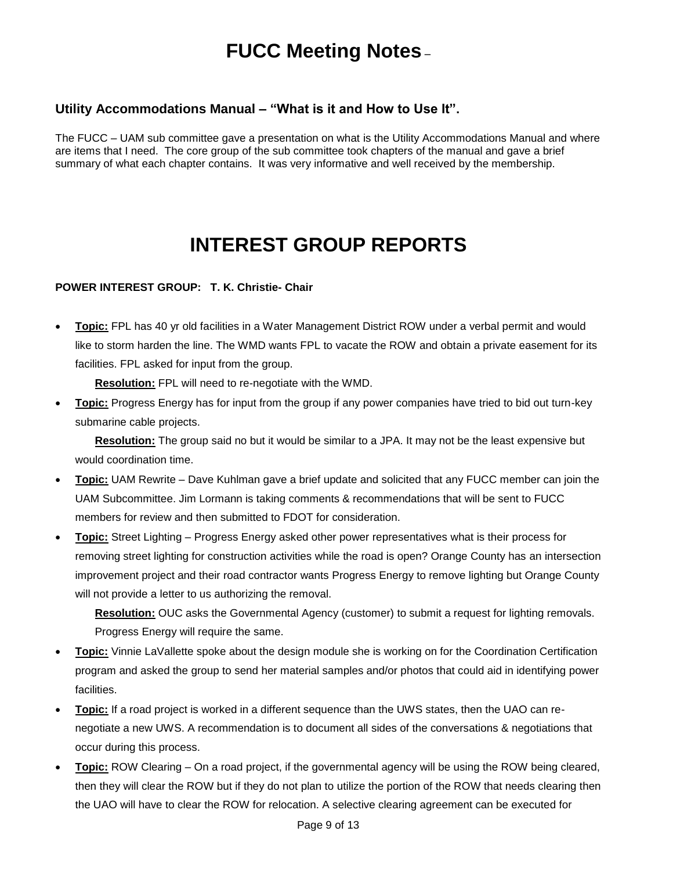### **Utility Accommodations Manual – "What is it and How to Use It".**

The FUCC – UAM sub committee gave a presentation on what is the Utility Accommodations Manual and where are items that I need. The core group of the sub committee took chapters of the manual and gave a brief summary of what each chapter contains. It was very informative and well received by the membership.

## **INTEREST GROUP REPORTS**

### **POWER INTEREST GROUP: T. K. Christie- Chair**

 **Topic:** FPL has 40 yr old facilities in a Water Management District ROW under a verbal permit and would like to storm harden the line. The WMD wants FPL to vacate the ROW and obtain a private easement for its facilities. FPL asked for input from the group.

**Resolution:** FPL will need to re-negotiate with the WMD.

 **Topic:** Progress Energy has for input from the group if any power companies have tried to bid out turn-key submarine cable projects.

**Resolution:** The group said no but it would be similar to a JPA. It may not be the least expensive but would coordination time.

- **Topic:** UAM Rewrite Dave Kuhlman gave a brief update and solicited that any FUCC member can join the UAM Subcommittee. Jim Lormann is taking comments & recommendations that will be sent to FUCC members for review and then submitted to FDOT for consideration.
- **Topic:** Street Lighting Progress Energy asked other power representatives what is their process for removing street lighting for construction activities while the road is open? Orange County has an intersection improvement project and their road contractor wants Progress Energy to remove lighting but Orange County will not provide a letter to us authorizing the removal.

**Resolution:** OUC asks the Governmental Agency (customer) to submit a request for lighting removals. Progress Energy will require the same.

- **Topic:** Vinnie LaVallette spoke about the design module she is working on for the Coordination Certification program and asked the group to send her material samples and/or photos that could aid in identifying power facilities.
- **Topic:** If a road project is worked in a different sequence than the UWS states, then the UAO can renegotiate a new UWS. A recommendation is to document all sides of the conversations & negotiations that occur during this process.
- **Topic:** ROW Clearing On a road project, if the governmental agency will be using the ROW being cleared, then they will clear the ROW but if they do not plan to utilize the portion of the ROW that needs clearing then the UAO will have to clear the ROW for relocation. A selective clearing agreement can be executed for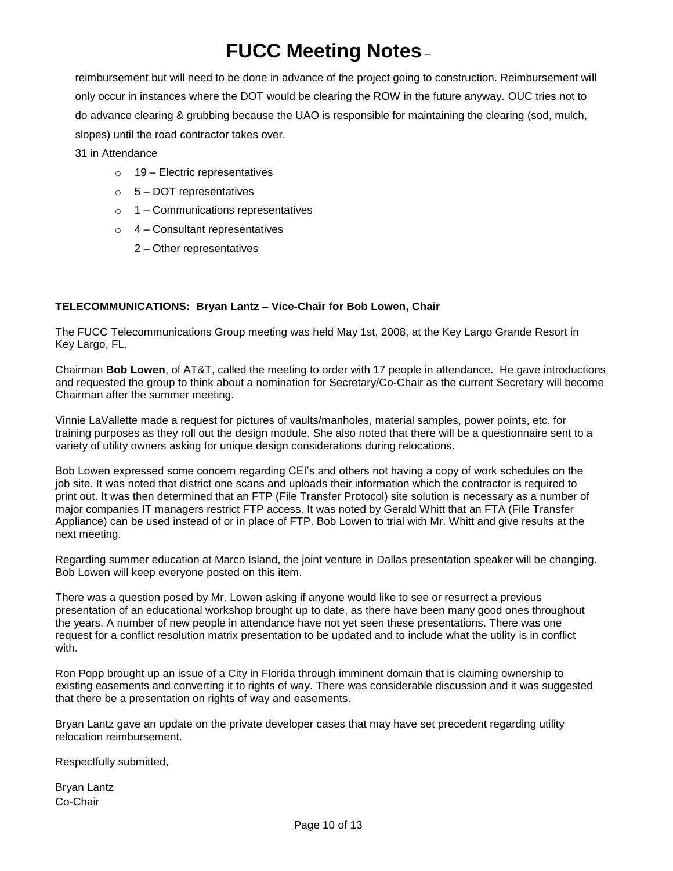reimbursement but will need to be done in advance of the project going to construction. Reimbursement will only occur in instances where the DOT would be clearing the ROW in the future anyway. OUC tries not to do advance clearing & grubbing because the UAO is responsible for maintaining the clearing (sod, mulch, slopes) until the road contractor takes over.

31 in Attendance

- $\circ$  19 Electric representatives
- $\circ$  5 DOT representatives
- o 1 Communications representatives
- $\circ$  4 Consultant representatives
	- 2 Other representatives

#### **TELECOMMUNICATIONS: Bryan Lantz – Vice-Chair for Bob Lowen, Chair**

The FUCC Telecommunications Group meeting was held May 1st, 2008, at the Key Largo Grande Resort in Key Largo, FL.

Chairman **Bob Lowen**, of AT&T, called the meeting to order with 17 people in attendance. He gave introductions and requested the group to think about a nomination for Secretary/Co-Chair as the current Secretary will become Chairman after the summer meeting.

Vinnie LaVallette made a request for pictures of vaults/manholes, material samples, power points, etc. for training purposes as they roll out the design module. She also noted that there will be a questionnaire sent to a variety of utility owners asking for unique design considerations during relocations.

Bob Lowen expressed some concern regarding CEI's and others not having a copy of work schedules on the job site. It was noted that district one scans and uploads their information which the contractor is required to print out. It was then determined that an FTP (File Transfer Protocol) site solution is necessary as a number of major companies IT managers restrict FTP access. It was noted by Gerald Whitt that an FTA (File Transfer Appliance) can be used instead of or in place of FTP. Bob Lowen to trial with Mr. Whitt and give results at the next meeting.

Regarding summer education at Marco Island, the joint venture in Dallas presentation speaker will be changing. Bob Lowen will keep everyone posted on this item.

There was a question posed by Mr. Lowen asking if anyone would like to see or resurrect a previous presentation of an educational workshop brought up to date, as there have been many good ones throughout the years. A number of new people in attendance have not yet seen these presentations. There was one request for a conflict resolution matrix presentation to be updated and to include what the utility is in conflict with.

Ron Popp brought up an issue of a City in Florida through imminent domain that is claiming ownership to existing easements and converting it to rights of way. There was considerable discussion and it was suggested that there be a presentation on rights of way and easements.

Bryan Lantz gave an update on the private developer cases that may have set precedent regarding utility relocation reimbursement.

Respectfully submitted,

Bryan Lantz Co-Chair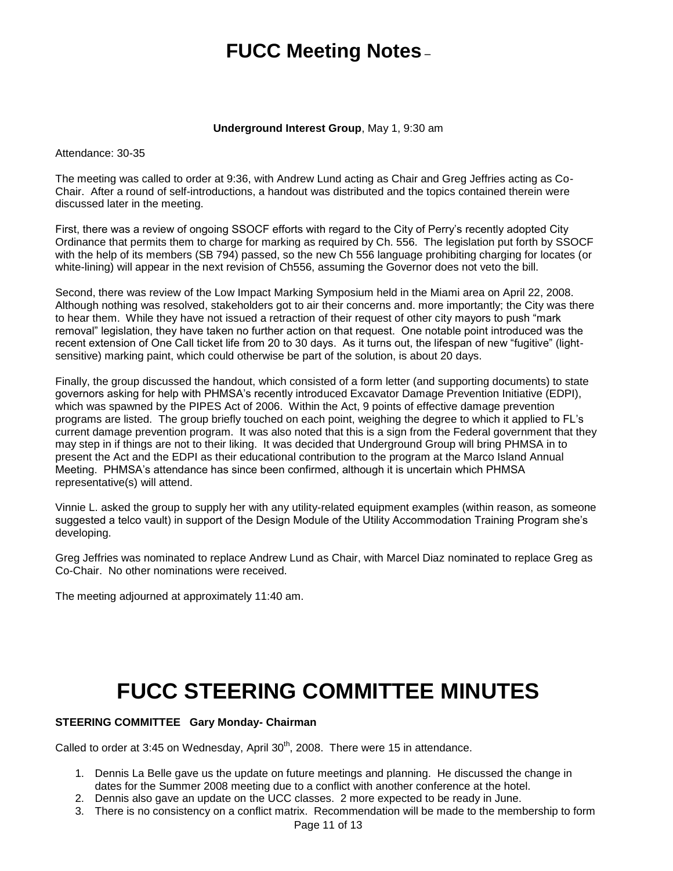#### **Underground Interest Group**, May 1, 9:30 am

Attendance: 30-35

The meeting was called to order at 9:36, with Andrew Lund acting as Chair and Greg Jeffries acting as Co-Chair. After a round of self-introductions, a handout was distributed and the topics contained therein were discussed later in the meeting.

First, there was a review of ongoing SSOCF efforts with regard to the City of Perry's recently adopted City Ordinance that permits them to charge for marking as required by Ch. 556. The legislation put forth by SSOCF with the help of its members (SB 794) passed, so the new Ch 556 language prohibiting charging for locates (or white-lining) will appear in the next revision of Ch556, assuming the Governor does not veto the bill.

Second, there was review of the Low Impact Marking Symposium held in the Miami area on April 22, 2008. Although nothing was resolved, stakeholders got to air their concerns and. more importantly; the City was there to hear them. While they have not issued a retraction of their request of other city mayors to push "mark removal" legislation, they have taken no further action on that request. One notable point introduced was the recent extension of One Call ticket life from 20 to 30 days. As it turns out, the lifespan of new "fugitive" (lightsensitive) marking paint, which could otherwise be part of the solution, is about 20 days.

Finally, the group discussed the handout, which consisted of a form letter (and supporting documents) to state governors asking for help with PHMSA's recently introduced Excavator Damage Prevention Initiative (EDPI), which was spawned by the PIPES Act of 2006. Within the Act, 9 points of effective damage prevention programs are listed. The group briefly touched on each point, weighing the degree to which it applied to FL's current damage prevention program. It was also noted that this is a sign from the Federal government that they may step in if things are not to their liking. It was decided that Underground Group will bring PHMSA in to present the Act and the EDPI as their educational contribution to the program at the Marco Island Annual Meeting. PHMSA's attendance has since been confirmed, although it is uncertain which PHMSA representative(s) will attend.

Vinnie L. asked the group to supply her with any utility-related equipment examples (within reason, as someone suggested a telco vault) in support of the Design Module of the Utility Accommodation Training Program she's developing.

Greg Jeffries was nominated to replace Andrew Lund as Chair, with Marcel Diaz nominated to replace Greg as Co-Chair. No other nominations were received.

The meeting adjourned at approximately 11:40 am.

# **FUCC STEERING COMMITTEE MINUTES**

### **STEERING COMMITTEE Gary Monday- Chairman**

Called to order at 3:45 on Wednesday, April  $30<sup>th</sup>$ , 2008. There were 15 in attendance.

- 1. Dennis La Belle gave us the update on future meetings and planning. He discussed the change in dates for the Summer 2008 meeting due to a conflict with another conference at the hotel.
- 2. Dennis also gave an update on the UCC classes. 2 more expected to be ready in June.
- 3. There is no consistency on a conflict matrix. Recommendation will be made to the membership to form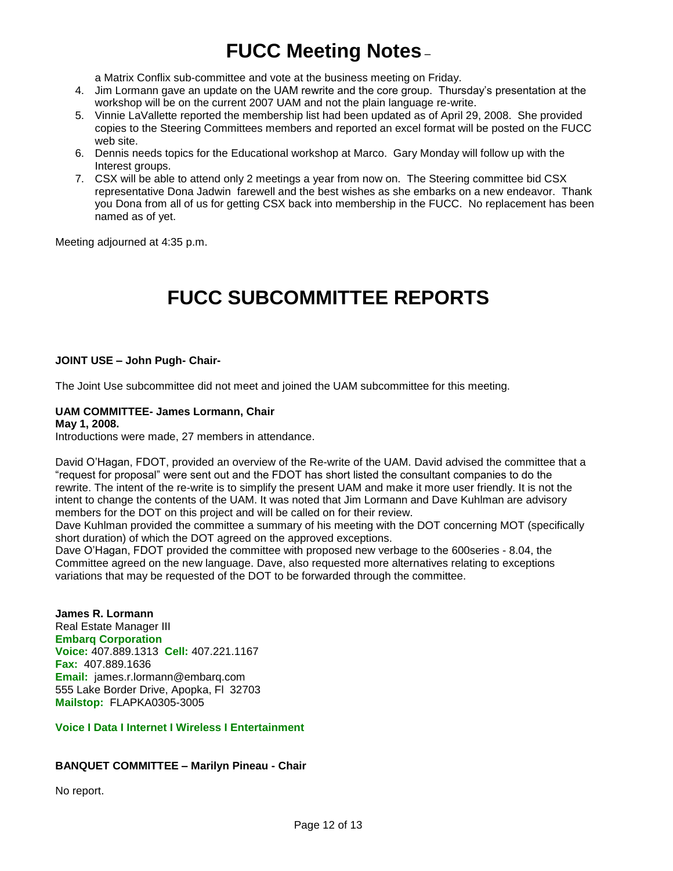a Matrix Conflix sub-committee and vote at the business meeting on Friday.

- 4. Jim Lormann gave an update on the UAM rewrite and the core group. Thursday's presentation at the workshop will be on the current 2007 UAM and not the plain language re-write.
- 5. Vinnie LaVallette reported the membership list had been updated as of April 29, 2008. She provided copies to the Steering Committees members and reported an excel format will be posted on the FUCC web site.
- 6. Dennis needs topics for the Educational workshop at Marco. Gary Monday will follow up with the Interest groups.
- 7. CSX will be able to attend only 2 meetings a year from now on. The Steering committee bid CSX representative Dona Jadwin farewell and the best wishes as she embarks on a new endeavor. Thank you Dona from all of us for getting CSX back into membership in the FUCC. No replacement has been named as of yet.

Meeting adjourned at 4:35 p.m.

## **FUCC SUBCOMMITTEE REPORTS**

#### **JOINT USE – John Pugh- Chair-**

The Joint Use subcommittee did not meet and joined the UAM subcommittee for this meeting.

#### **UAM COMMITTEE- James Lormann, Chair**

#### **May 1, 2008.**

Introductions were made, 27 members in attendance.

David O'Hagan, FDOT, provided an overview of the Re-write of the UAM. David advised the committee that a "request for proposal" were sent out and the FDOT has short listed the consultant companies to do the rewrite. The intent of the re-write is to simplify the present UAM and make it more user friendly. It is not the intent to change the contents of the UAM. It was noted that Jim Lormann and Dave Kuhlman are advisory members for the DOT on this project and will be called on for their review.

Dave Kuhlman provided the committee a summary of his meeting with the DOT concerning MOT (specifically short duration) of which the DOT agreed on the approved exceptions.

Dave O'Hagan, FDOT provided the committee with proposed new verbage to the 600series - 8.04, the Committee agreed on the new language. Dave, also requested more alternatives relating to exceptions variations that may be requested of the DOT to be forwarded through the committee.

### **James R. Lormann** Real Estate Manager III

**Embarq Corporation Voice:** 407.889.1313 **Cell:** 407.221.1167 **Fax:** 407.889.1636 **Email:** [james.r.lormann@embarq.com](mailto:james.r.lormann@embarq.com) 555 Lake Border Drive, Apopka, Fl 32703 **Mailstop:** FLAPKA0305-3005

### **Voice I Data I Internet I Wireless I Entertainment**

#### **BANQUET COMMITTEE – Marilyn Pineau - Chair**

No report.